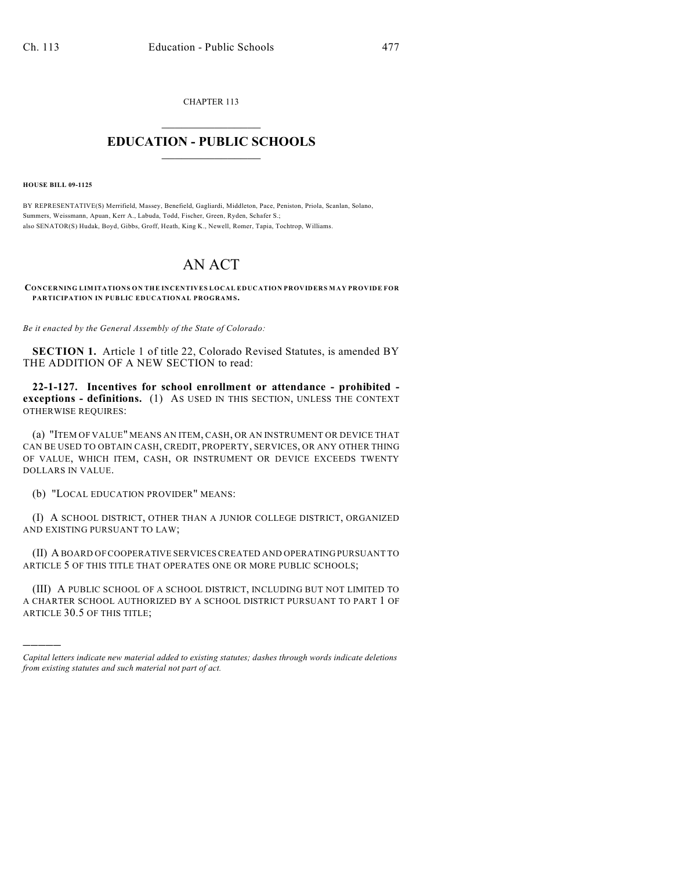CHAPTER 113  $\overline{\phantom{a}}$  . The set of the set of the set of the set of the set of the set of the set of the set of the set of the set of the set of the set of the set of the set of the set of the set of the set of the set of the set o

## **EDUCATION - PUBLIC SCHOOLS**  $\_$   $\_$   $\_$   $\_$   $\_$   $\_$   $\_$   $\_$   $\_$

**HOUSE BILL 09-1125**

)))))

BY REPRESENTATIVE(S) Merrifield, Massey, Benefield, Gagliardi, Middleton, Pace, Peniston, Priola, Scanlan, Solano, Summers, Weissmann, Apuan, Kerr A., Labuda, Todd, Fischer, Green, Ryden, Schafer S.; also SENATOR(S) Hudak, Boyd, Gibbs, Groff, Heath, King K., Newell, Romer, Tapia, Tochtrop, Williams.

## AN ACT

**CONCERNING LIMITATIONS ON THE INCENTIVES LOCAL EDUCATION PROVIDERS MAY PROVIDE FOR PARTICIPATION IN PUBLIC EDUCATIONAL PROGRAMS.** 

*Be it enacted by the General Assembly of the State of Colorado:*

**SECTION 1.** Article 1 of title 22, Colorado Revised Statutes, is amended BY THE ADDITION OF A NEW SECTION to read:

**22-1-127. Incentives for school enrollment or attendance - prohibited exceptions - definitions.** (1) AS USED IN THIS SECTION, UNLESS THE CONTEXT OTHERWISE REQUIRES:

(a) "ITEM OF VALUE" MEANS AN ITEM, CASH, OR AN INSTRUMENT OR DEVICE THAT CAN BE USED TO OBTAIN CASH, CREDIT, PROPERTY, SERVICES, OR ANY OTHER THING OF VALUE, WHICH ITEM, CASH, OR INSTRUMENT OR DEVICE EXCEEDS TWENTY DOLLARS IN VALUE.

(b) "LOCAL EDUCATION PROVIDER" MEANS:

(I) A SCHOOL DISTRICT, OTHER THAN A JUNIOR COLLEGE DISTRICT, ORGANIZED AND EXISTING PURSUANT TO LAW;

(II) A BOARD OF COOPERATIVE SERVICES CREATED AND OPERATING PURSUANT TO ARTICLE 5 OF THIS TITLE THAT OPERATES ONE OR MORE PUBLIC SCHOOLS;

(III) A PUBLIC SCHOOL OF A SCHOOL DISTRICT, INCLUDING BUT NOT LIMITED TO A CHARTER SCHOOL AUTHORIZED BY A SCHOOL DISTRICT PURSUANT TO PART 1 OF ARTICLE 30.5 OF THIS TITLE;

*Capital letters indicate new material added to existing statutes; dashes through words indicate deletions from existing statutes and such material not part of act.*